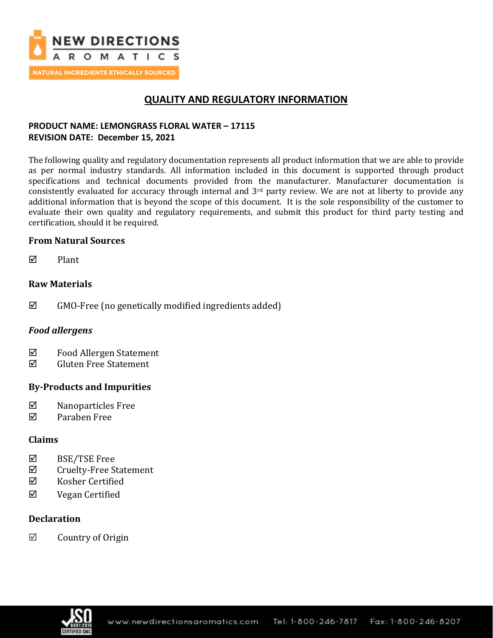

## **QUALITY AND REGULATORY INFORMATION**

## **PRODUCT NAME: LEMONGRASS FLORAL WATER – 17115 REVISION DATE: December 15, 2021**

The following quality and regulatory documentation represents all product information that we are able to provide as per normal industry standards. All information included in this document is supported through product specifications and technical documents provided from the manufacturer. Manufacturer documentation is consistently evaluated for accuracy through internal and 3rd party review. We are not at liberty to provide any additional information that is beyond the scope of this document. It is the sole responsibility of the customer to evaluate their own quality and regulatory requirements, and submit this product for third party testing and certification, should it be required.

## **From Natural Sources**

 $\nabla$  Plant

## **Raw Materials**

 $\boxtimes$  GMO-Free (no genetically modified ingredients added)

## *Food allergens*

- $\Phi$  Food Allergen Statement
- Gluten Free Statement

## **By-Products and Impurities**

- $\nabla$  Nanoparticles Free
- Paraben Free

## **Claims**

- $\boxtimes$  BSE/TSE Free
- $\Phi$  Cruelty-Free Statement
- $\boxtimes$  Kosher Certified
- Vegan Certified

## **Declaration**

 $\boxtimes$  Country of Origin

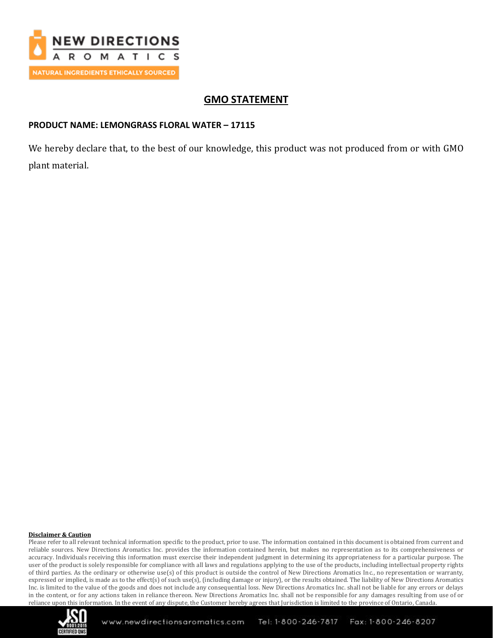

## **GMO STATEMENT**

## **PRODUCT NAME: LEMONGRASS FLORAL WATER – 17115**

We hereby declare that, to the best of our knowledge, this product was not produced from or with GMO plant material.

#### **Disclaimer & Caution**

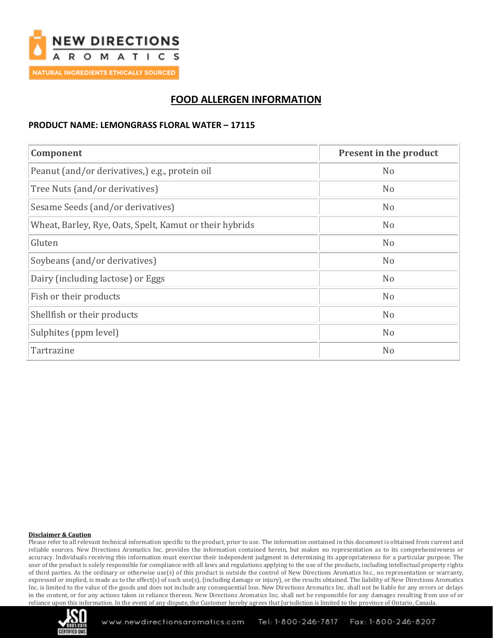

# **FOOD ALLERGEN INFORMATION**

### **PRODUCT NAME: LEMONGRASS FLORAL WATER – 17115**

| Component                                               | Present in the product |
|---------------------------------------------------------|------------------------|
| Peanut (and/or derivatives,) e.g., protein oil          | N <sub>o</sub>         |
| Tree Nuts (and/or derivatives)                          | N <sub>o</sub>         |
| Sesame Seeds (and/or derivatives)                       | N <sub>o</sub>         |
| Wheat, Barley, Rye, Oats, Spelt, Kamut or their hybrids | N <sub>o</sub>         |
| Gluten                                                  | N <sub>o</sub>         |
| Soybeans (and/or derivatives)                           | N <sub>o</sub>         |
| Dairy (including lactose) or Eggs                       | N <sub>o</sub>         |
| Fish or their products                                  | N <sub>o</sub>         |
| Shellfish or their products                             | N <sub>o</sub>         |
| Sulphites (ppm level)                                   | N <sub>o</sub>         |
| Tartrazine                                              | N <sub>o</sub>         |

#### **Disclaimer & Caution**

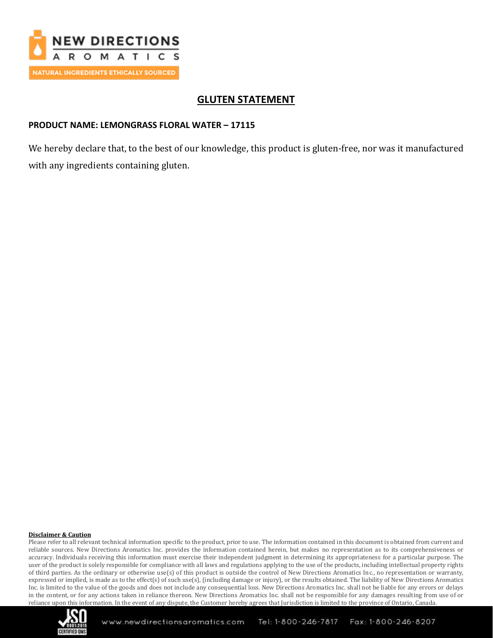

## **GLUTEN STATEMENT**

## **PRODUCT NAME: LEMONGRASS FLORAL WATER – 17115**

We hereby declare that, to the best of our knowledge, this product is gluten-free, nor was it manufactured with any ingredients containing gluten.

#### **Disclaimer & Caution**

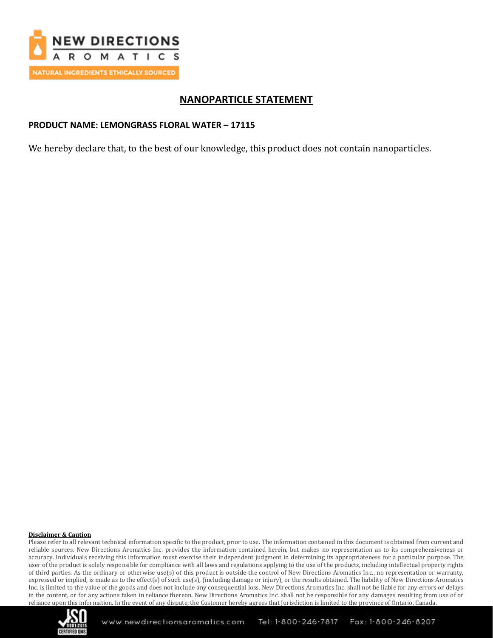

## **NANOPARTICLE STATEMENT**

### **PRODUCT NAME: LEMONGRASS FLORAL WATER – 17115**

We hereby declare that, to the best of our knowledge, this product does not contain nanoparticles.

#### **Disclaimer & Caution**

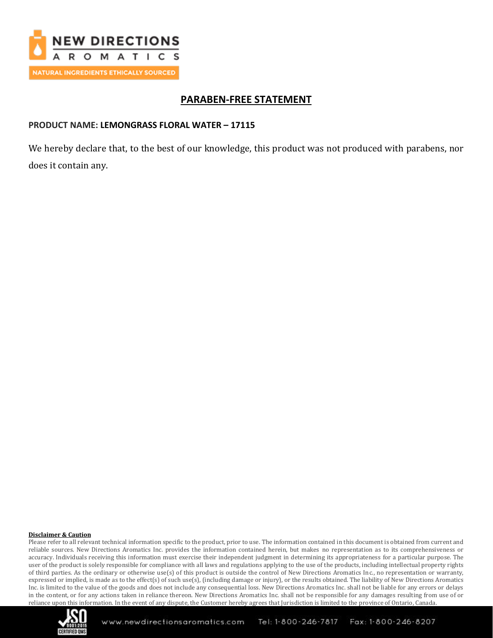

## **PARABEN-FREE STATEMENT**

### **PRODUCT NAME: LEMONGRASS FLORAL WATER – 17115**

We hereby declare that, to the best of our knowledge, this product was not produced with parabens, nor does it contain any.

#### **Disclaimer & Caution**

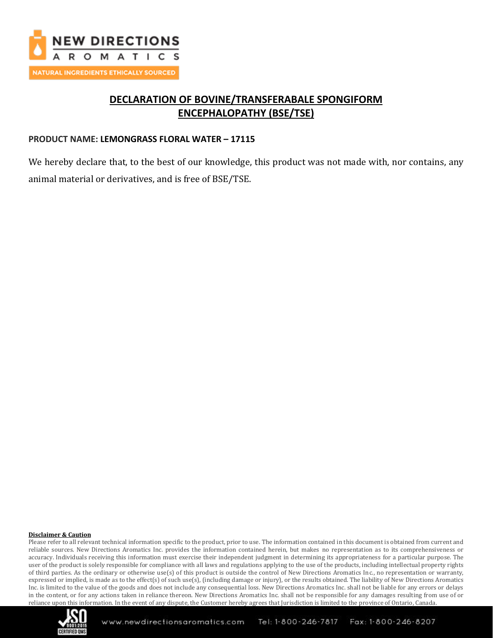

# **DECLARATION OF BOVINE/TRANSFERABALE SPONGIFORM ENCEPHALOPATHY (BSE/TSE)**

## **PRODUCT NAME: LEMONGRASS FLORAL WATER – 17115**

We hereby declare that, to the best of our knowledge, this product was not made with, nor contains, any animal material or derivatives, and is free of BSE/TSE.

#### **Disclaimer & Caution**

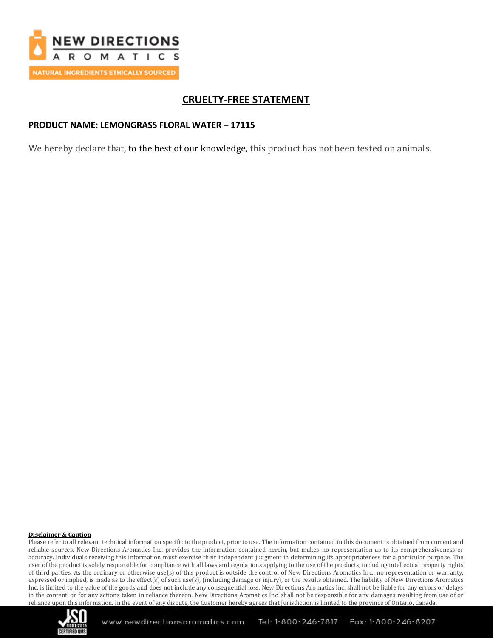

# **CRUELTY-FREE STATEMENT**

## **PRODUCT NAME: LEMONGRASS FLORAL WATER – 17115**

We hereby declare that, to the best of our knowledge, this product has not been tested on animals.

#### **Disclaimer & Caution**

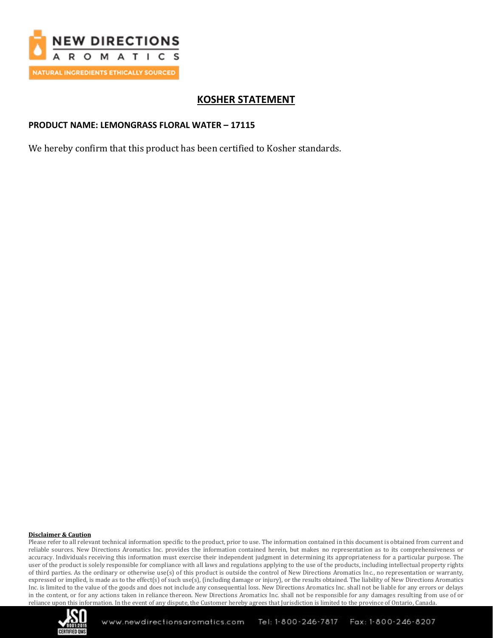

## **KOSHER STATEMENT**

### **PRODUCT NAME: LEMONGRASS FLORAL WATER – 17115**

We hereby confirm that this product has been certified to Kosher standards.

#### **Disclaimer & Caution**

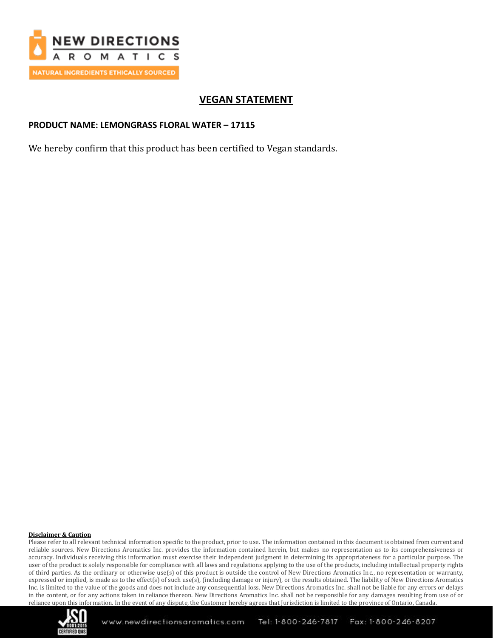

## **VEGAN STATEMENT**

### **PRODUCT NAME: LEMONGRASS FLORAL WATER – 17115**

We hereby confirm that this product has been certified to Vegan standards.

#### **Disclaimer & Caution**